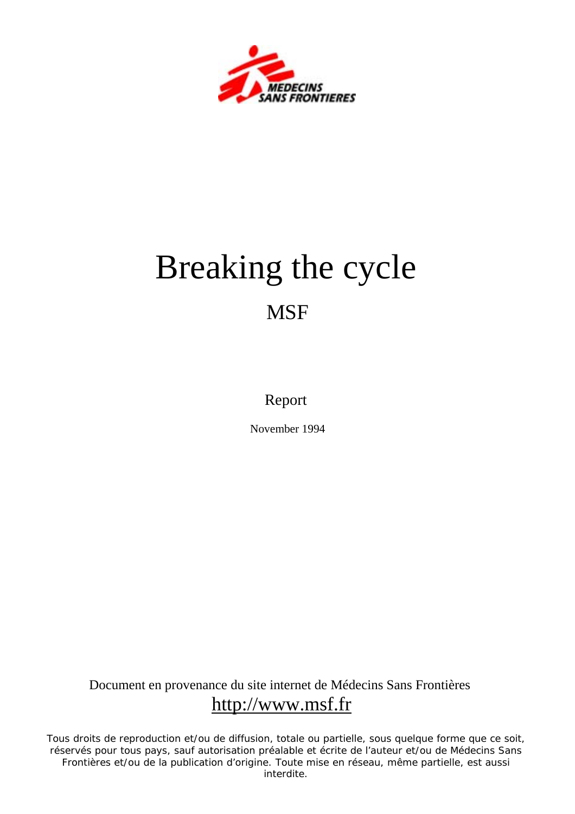

# Breaking the cycle **MSF**

Report

November 1994

Document en provenance du site internet de Médecins Sans Frontières http://www.msf.fr

Tous droits de reproduction et/ou de diffusion, totale ou partielle, sous quelque forme que ce soit, réservés pour tous pays, sauf autorisation préalable et écrite de l'auteur et/ou de Médecins Sans Frontières et/ou de la publication d'origine. Toute mise en réseau, même partielle, est aussi interdite.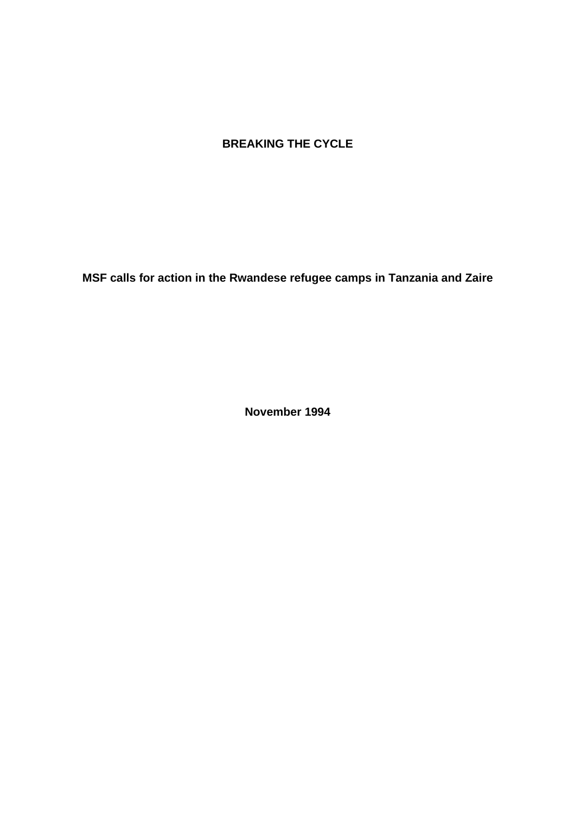## **BREAKING THE CYCLE**

**MSF calls for action in the Rwandese refugee camps in Tanzania and Zaire** 

**November 1994**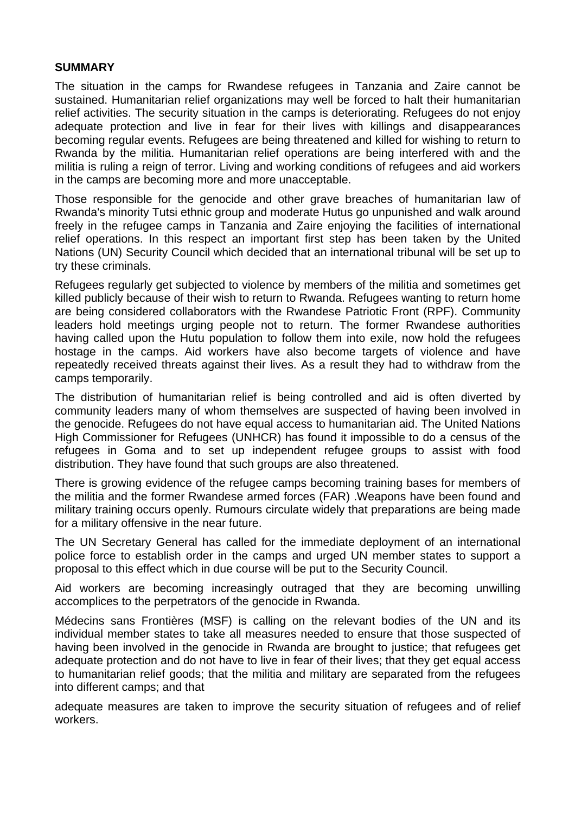#### **SUMMARY**

The situation in the camps for Rwandese refugees in Tanzania and Zaire cannot be sustained. Humanitarian relief organizations may well be forced to halt their humanitarian relief activities. The security situation in the camps is deteriorating. Refugees do not enjoy adequate protection and live in fear for their lives with killings and disappearances becoming regular events. Refugees are being threatened and killed for wishing to return to Rwanda by the militia. Humanitarian relief operations are being interfered with and the militia is ruling a reign of terror. Living and working conditions of refugees and aid workers in the camps are becoming more and more unacceptable.

Those responsible for the genocide and other grave breaches of humanitarian law of Rwanda's minority Tutsi ethnic group and moderate Hutus go unpunished and walk around freely in the refugee camps in Tanzania and Zaire enjoying the facilities of international relief operations. In this respect an important first step has been taken by the United Nations (UN) Security Council which decided that an international tribunal will be set up to try these criminals.

Refugees regularly get subjected to violence by members of the militia and sometimes get killed publicly because of their wish to return to Rwanda. Refugees wanting to return home are being considered collaborators with the Rwandese Patriotic Front (RPF). Community leaders hold meetings urging people not to return. The former Rwandese authorities having called upon the Hutu population to follow them into exile, now hold the refugees hostage in the camps. Aid workers have also become targets of violence and have repeatedly received threats against their lives. As a result they had to withdraw from the camps temporarily.

The distribution of humanitarian relief is being controlled and aid is often diverted by community leaders many of whom themselves are suspected of having been involved in the genocide. Refugees do not have equal access to humanitarian aid. The United Nations High Commissioner for Refugees (UNHCR) has found it impossible to do a census of the refugees in Goma and to set up independent refugee groups to assist with food distribution. They have found that such groups are also threatened.

There is growing evidence of the refugee camps becoming training bases for members of the militia and the former Rwandese armed forces (FAR) .Weapons have been found and military training occurs openly. Rumours circulate widely that preparations are being made for a military offensive in the near future.

The UN Secretary General has called for the immediate deployment of an international police force to establish order in the camps and urged UN member states to support a proposal to this effect which in due course will be put to the Security Council.

Aid workers are becoming increasingly outraged that they are becoming unwilling accomplices to the perpetrators of the genocide in Rwanda.

Médecins sans Frontières (MSF) is calling on the relevant bodies of the UN and its individual member states to take all measures needed to ensure that those suspected of having been involved in the genocide in Rwanda are brought to justice; that refugees get adequate protection and do not have to live in fear of their lives; that they get equal access to humanitarian relief goods; that the militia and military are separated from the refugees into different camps; and that

adequate measures are taken to improve the security situation of refugees and of relief workers.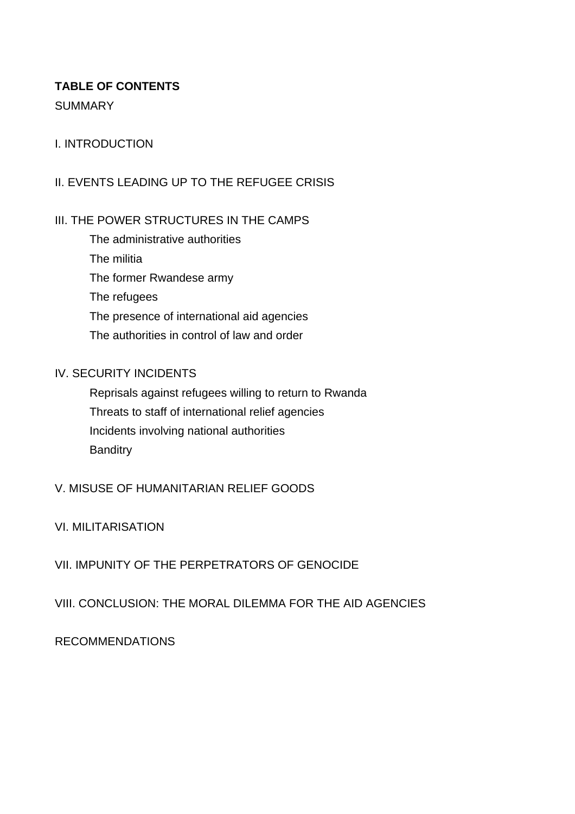# **TABLE OF CONTENTS**

## **SUMMARY**

# I. INTRODUCTION

# II. EVENTS LEADING UP TO THE REFUGEE CRISIS

# III. THE POWER STRUCTURES IN THE CAMPS

The administrative authorities The militia The former Rwandese army The refugees The presence of international aid agencies The authorities in control of law and order

## IV. SECURITY INCIDENTS

Reprisals against refugees willing to return to Rwanda Threats to staff of international relief agencies Incidents involving national authorities **Banditry** 

# V. MISUSE OF HUMANITARIAN RELIEF GOODS

# VI. MILITARISATION

# VII. IMPUNITY OF THE PERPETRATORS OF GENOCIDE

# VIII. CONCLUSION: THE MORAL DILEMMA FOR THE AID AGENCIES

# RECOMMENDATIONS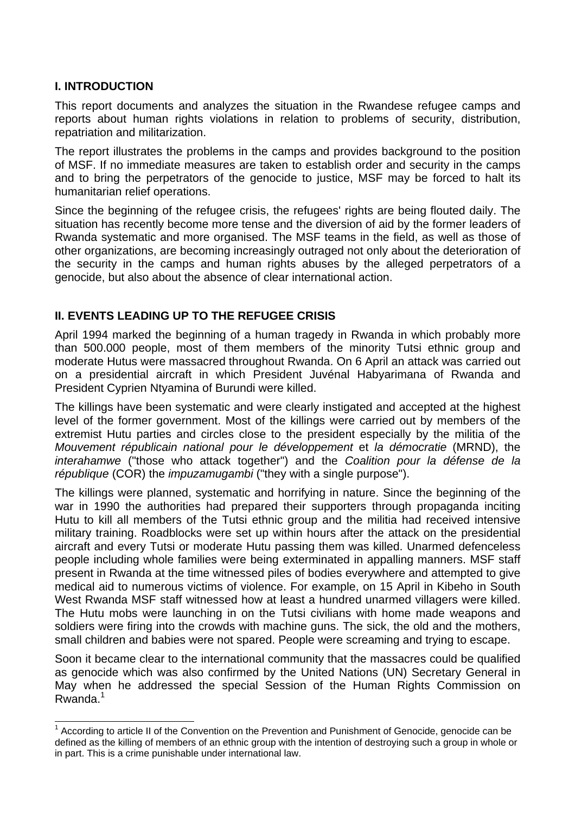## **I. INTRODUCTION**

This report documents and analyzes the situation in the Rwandese refugee camps and reports about human rights violations in relation to problems of security, distribution, repatriation and militarization.

The report illustrates the problems in the camps and provides background to the position of MSF. If no immediate measures are taken to establish order and security in the camps and to bring the perpetrators of the genocide to justice, MSF may be forced to halt its humanitarian relief operations.

Since the beginning of the refugee crisis, the refugees' rights are being flouted daily. The situation has recently become more tense and the diversion of aid by the former leaders of Rwanda systematic and more organised. The MSF teams in the field, as well as those of other organizations, are becoming increasingly outraged not only about the deterioration of the security in the camps and human rights abuses by the alleged perpetrators of a genocide, but also about the absence of clear international action.

## **II. EVENTS LEADING UP TO THE REFUGEE CRISIS**

April 1994 marked the beginning of a human tragedy in Rwanda in which probably more than 500.000 people, most of them members of the minority Tutsi ethnic group and moderate Hutus were massacred throughout Rwanda. On 6 April an attack was carried out on a presidential aircraft in which President Juvénal Habyarimana of Rwanda and President Cyprien Ntyamina of Burundi were killed.

The killings have been systematic and were clearly instigated and accepted at the highest level of the former government. Most of the killings were carried out by members of the extremist Hutu parties and circles close to the president especially by the militia of the *Mouvement républicain national pour le développement* et *la démocratie* (MRND), the *interahamwe* ("those who attack together") and the *Coalition pour la défense de la république* (COR) the *impuzamugambi* ("they with a single purpose").

The killings were planned, systematic and horrifying in nature. Since the beginning of the war in 1990 the authorities had prepared their supporters through propaganda inciting Hutu to kill all members of the Tutsi ethnic group and the militia had received intensive military training. Roadblocks were set up within hours after the attack on the presidential aircraft and every Tutsi or moderate Hutu passing them was killed. Unarmed defenceless people including whole families were being exterminated in appalling manners. MSF staff present in Rwanda at the time witnessed piles of bodies everywhere and attempted to give medical aid to numerous victims of violence. For example, on 15 April in Kibeho in South West Rwanda MSF staff witnessed how at least a hundred unarmed villagers were killed. The Hutu mobs were launching in on the Tutsi civilians with home made weapons and soldiers were firing into the crowds with machine guns. The sick, the old and the mothers, small children and babies were not spared. People were screaming and trying to escape.

Soon it became clear to the international community that the massacres could be qualified as genocide which was also confirmed by the United Nations (UN) Secretary General in May when he addressed the special Session of the Human Rights Commission on Rwanda.<sup>1</sup>

<span id="page-4-0"></span>The Cording to article II of the Convention on the Prevention and Punishment of Genocide, genocide can be defined as the killing of members of an ethnic group with the intention of destroying such a group in whole or in part. This is a crime punishable under international law.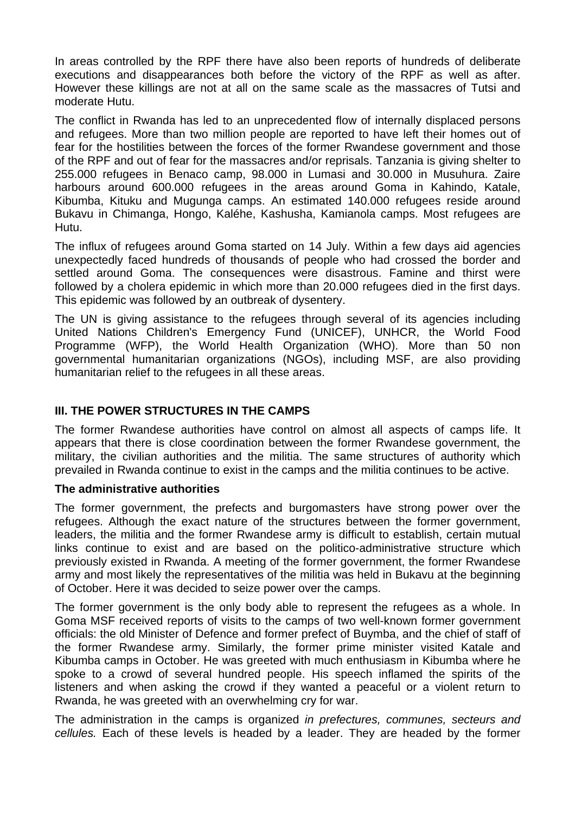In areas controlled by the RPF there have also been reports of hundreds of deliberate executions and disappearances both before the victory of the RPF as well as after. However these killings are not at all on the same scale as the massacres of Tutsi and moderate Hutu.

The conflict in Rwanda has led to an unprecedented flow of internally displaced persons and refugees. More than two million people are reported to have left their homes out of fear for the hostilities between the forces of the former Rwandese government and those of the RPF and out of fear for the massacres and/or reprisals. Tanzania is giving shelter to 255.000 refugees in Benaco camp, 98.000 in Lumasi and 30.000 in Musuhura. Zaire harbours around 600.000 refugees in the areas around Goma in Kahindo, Katale, Kibumba, Kituku and Mugunga camps. An estimated 140.000 refugees reside around Bukavu in Chimanga, Hongo, Kaléhe, Kashusha, Kamianola camps. Most refugees are Hutu.

The influx of refugees around Goma started on 14 July. Within a few days aid agencies unexpectedly faced hundreds of thousands of people who had crossed the border and settled around Goma. The consequences were disastrous. Famine and thirst were followed by a cholera epidemic in which more than 20.000 refugees died in the first days. This epidemic was followed by an outbreak of dysentery.

The UN is giving assistance to the refugees through several of its agencies including United Nations Children's Emergency Fund (UNICEF), UNHCR, the World Food Programme (WFP), the World Health Organization (WHO). More than 50 non governmental humanitarian organizations (NGOs), including MSF, are also providing humanitarian relief to the refugees in all these areas.

## **III. THE POWER STRUCTURES IN THE CAMPS**

The former Rwandese authorities have control on almost all aspects of camps life. It appears that there is close coordination between the former Rwandese government, the military, the civilian authorities and the militia. The same structures of authority which prevailed in Rwanda continue to exist in the camps and the militia continues to be active.

#### **The administrative authorities**

The former government, the prefects and burgomasters have strong power over the refugees. Although the exact nature of the structures between the former government, leaders, the militia and the former Rwandese army is difficult to establish, certain mutual links continue to exist and are based on the politico-administrative structure which previously existed in Rwanda. A meeting of the former government, the former Rwandese army and most likely the representatives of the militia was held in Bukavu at the beginning of October. Here it was decided to seize power over the camps.

The former government is the only body able to represent the refugees as a whole. In Goma MSF received reports of visits to the camps of two well-known former government officials: the old Minister of Defence and former prefect of Buymba, and the chief of staff of the former Rwandese army. Similarly, the former prime minister visited Katale and Kibumba camps in October. He was greeted with much enthusiasm in Kibumba where he spoke to a crowd of several hundred people. His speech inflamed the spirits of the listeners and when asking the crowd if they wanted a peaceful or a violent return to Rwanda, he was greeted with an overwhelming cry for war.

The administration in the camps is organized *in prefectures, communes, secteurs and cellules.* Each of these levels is headed by a leader. They are headed by the former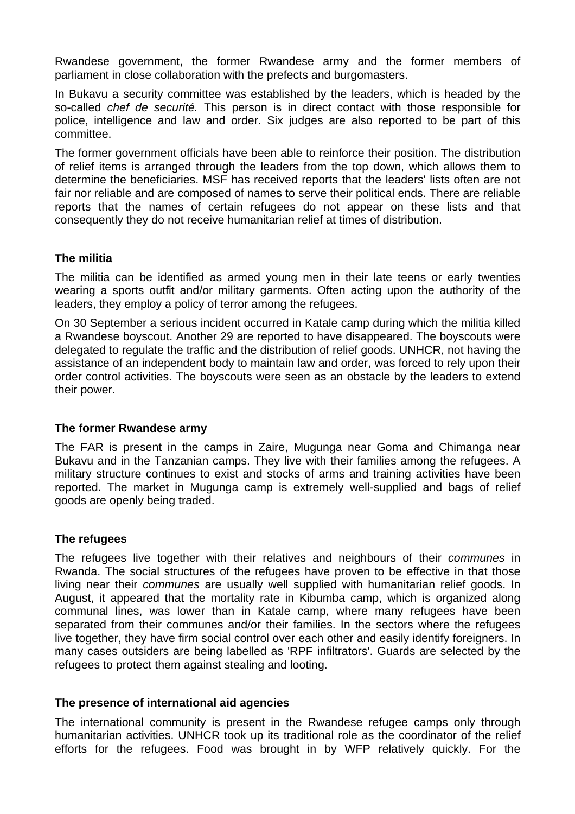Rwandese government, the former Rwandese army and the former members of parliament in close collaboration with the prefects and burgomasters.

In Bukavu a security committee was established by the leaders, which is headed by the so-called *chef de securité.* This person is in direct contact with those responsible for police, intelligence and law and order. Six judges are also reported to be part of this committee.

The former government officials have been able to reinforce their position. The distribution of relief items is arranged through the leaders from the top down, which allows them to determine the beneficiaries. MSF has received reports that the leaders' lists often are not fair nor reliable and are composed of names to serve their political ends. There are reliable reports that the names of certain refugees do not appear on these lists and that consequently they do not receive humanitarian relief at times of distribution.

## **The militia**

The militia can be identified as armed young men in their late teens or early twenties wearing a sports outfit and/or military garments. Often acting upon the authority of the leaders, they employ a policy of terror among the refugees.

On 30 September a serious incident occurred in Katale camp during which the militia killed a Rwandese boyscout. Another 29 are reported to have disappeared. The boyscouts were delegated to regulate the traffic and the distribution of relief goods. UNHCR, not having the assistance of an independent body to maintain law and order, was forced to rely upon their order control activities. The boyscouts were seen as an obstacle by the leaders to extend their power.

#### **The former Rwandese army**

The FAR is present in the camps in Zaire, Mugunga near Goma and Chimanga near Bukavu and in the Tanzanian camps. They live with their families among the refugees. A military structure continues to exist and stocks of arms and training activities have been reported. The market in Mugunga camp is extremely well-supplied and bags of relief goods are openly being traded.

#### **The refugees**

The refugees live together with their relatives and neighbours of their *communes* in Rwanda. The social structures of the refugees have proven to be effective in that those living near their *communes* are usually well supplied with humanitarian relief goods. In August, it appeared that the mortality rate in Kibumba camp, which is organized along communal lines, was lower than in Katale camp, where many refugees have been separated from their communes and/or their families. In the sectors where the refugees live together, they have firm social control over each other and easily identify foreigners. In many cases outsiders are being labelled as 'RPF infiltrators'. Guards are selected by the refugees to protect them against stealing and looting.

#### **The presence of international aid agencies**

The international community is present in the Rwandese refugee camps only through humanitarian activities. UNHCR took up its traditional role as the coordinator of the relief efforts for the refugees. Food was brought in by WFP relatively quickly. For the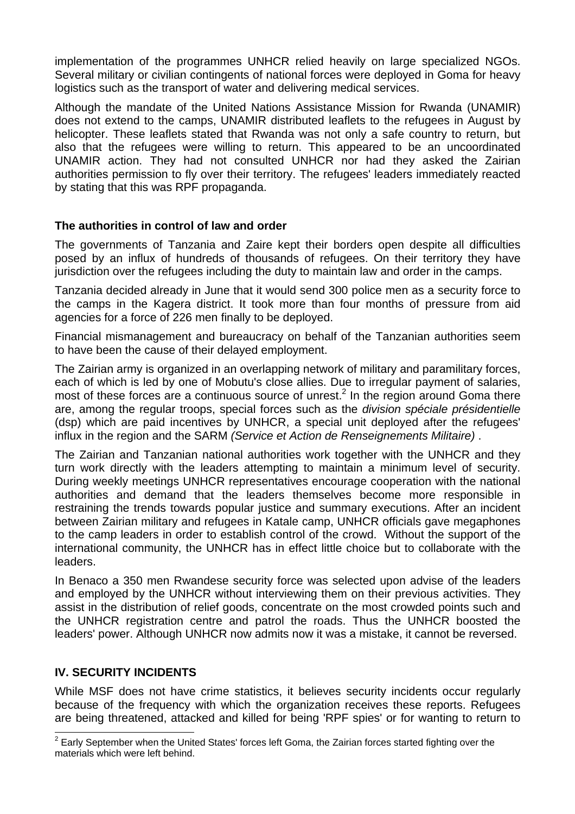implementation of the programmes UNHCR relied heavily on large specialized NGOs. Several military or civilian contingents of national forces were deployed in Goma for heavy logistics such as the transport of water and delivering medical services.

Although the mandate of the United Nations Assistance Mission for Rwanda (UNAMIR) does not extend to the camps, UNAMIR distributed leaflets to the refugees in August by helicopter. These leaflets stated that Rwanda was not only a safe country to return, but also that the refugees were willing to return. This appeared to be an uncoordinated UNAMIR action. They had not consulted UNHCR nor had they asked the Zairian authorities permission to fly over their territory. The refugees' leaders immediately reacted by stating that this was RPF propaganda.

#### **The authorities in control of law and order**

The governments of Tanzania and Zaire kept their borders open despite all difficulties posed by an influx of hundreds of thousands of refugees. On their territory they have jurisdiction over the refugees including the duty to maintain law and order in the camps.

Tanzania decided already in June that it would send 300 police men as a security force to the camps in the Kagera district. It took more than four months of pressure from aid agencies for a force of 226 men finally to be deployed.

Financial mismanagement and bureaucracy on behalf of the Tanzanian authorities seem to have been the cause of their delayed employment.

The Zairian army is organized in an overlapping network of military and paramilitary forces, each of which is led by one of Mobutu's close allies. Due to irregular payment of salaries, most of these forces are a continuous source of unrest.<sup>[2](#page-7-0)</sup> In the region around Goma there are, among the regular troops, special forces such as the *division spéciale présidentielle*  (dsp) which are paid incentives by UNHCR, a special unit deployed after the refugees' influx in the region and the SARM *(Service et Action de Renseignements Militaire)* .

The Zairian and Tanzanian national authorities work together with the UNHCR and they turn work directly with the leaders attempting to maintain a minimum level of security. During weekly meetings UNHCR representatives encourage cooperation with the national authorities and demand that the leaders themselves become more responsible in restraining the trends towards popular justice and summary executions. After an incident between Zairian military and refugees in Katale camp, UNHCR officials gave megaphones to the camp leaders in order to establish control of the crowd. Without the support of the international community, the UNHCR has in effect little choice but to collaborate with the leaders.

In Benaco a 350 men Rwandese security force was selected upon advise of the leaders and employed by the UNHCR without interviewing them on their previous activities. They assist in the distribution of relief goods, concentrate on the most crowded points such and the UNHCR registration centre and patrol the roads. Thus the UNHCR boosted the leaders' power. Although UNHCR now admits now it was a mistake, it cannot be reversed.

#### **IV. SECURITY INCIDENTS**

While MSF does not have crime statistics, it believes security incidents occur regularly because of the frequency with which the organization receives these reports. Refugees are being threatened, attacked and killed for being 'RPF spies' or for wanting to return to

<span id="page-7-0"></span> 2 Early September when the United States' forces left Goma, the Zairian forces started fighting over the materials which were left behind.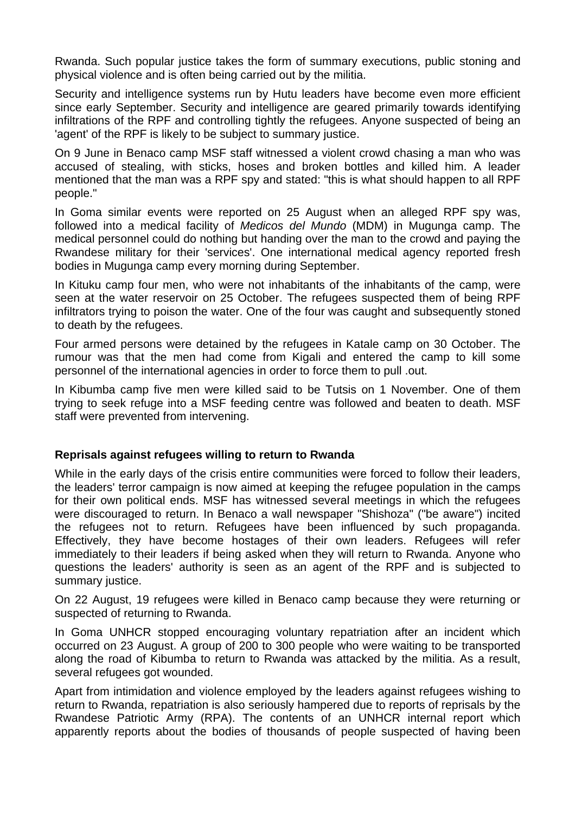Rwanda. Such popular justice takes the form of summary executions, public stoning and physical violence and is often being carried out by the militia.

Security and intelligence systems run by Hutu leaders have become even more efficient since early September. Security and intelligence are geared primarily towards identifying infiltrations of the RPF and controlling tightly the refugees. Anyone suspected of being an 'agent' of the RPF is likely to be subject to summary justice.

On 9 June in Benaco camp MSF staff witnessed a violent crowd chasing a man who was accused of stealing, with sticks, hoses and broken bottles and killed him. A leader mentioned that the man was a RPF spy and stated: "this is what should happen to all RPF people."

In Goma similar events were reported on 25 August when an alleged RPF spy was, followed into a medical facility of *Medicos del Mundo* (MDM) in Mugunga camp. The medical personnel could do nothing but handing over the man to the crowd and paying the Rwandese military for their 'services'. One international medical agency reported fresh bodies in Mugunga camp every morning during September.

In Kituku camp four men, who were not inhabitants of the inhabitants of the camp, were seen at the water reservoir on 25 October. The refugees suspected them of being RPF infiltrators trying to poison the water. One of the four was caught and subsequently stoned to death by the refugees.

Four armed persons were detained by the refugees in Katale camp on 30 October. The rumour was that the men had come from Kigali and entered the camp to kill some personnel of the international agencies in order to force them to pull .out.

In Kibumba camp five men were killed said to be Tutsis on 1 November. One of them trying to seek refuge into a MSF feeding centre was followed and beaten to death. MSF staff were prevented from intervening.

#### **Reprisals against refugees willing to return to Rwanda**

While in the early days of the crisis entire communities were forced to follow their leaders, the leaders' terror campaign is now aimed at keeping the refugee population in the camps for their own political ends. MSF has witnessed several meetings in which the refugees were discouraged to return. In Benaco a wall newspaper "Shishoza" ("be aware") incited the refugees not to return. Refugees have been influenced by such propaganda. Effectively, they have become hostages of their own leaders. Refugees will refer immediately to their leaders if being asked when they will return to Rwanda. Anyone who questions the leaders' authority is seen as an agent of the RPF and is subjected to summary justice.

On 22 August, 19 refugees were killed in Benaco camp because they were returning or suspected of returning to Rwanda.

In Goma UNHCR stopped encouraging voluntary repatriation after an incident which occurred on 23 August. A group of 200 to 300 people who were waiting to be transported along the road of Kibumba to return to Rwanda was attacked by the militia. As a result, several refugees got wounded.

Apart from intimidation and violence employed by the leaders against refugees wishing to return to Rwanda, repatriation is also seriously hampered due to reports of reprisals by the Rwandese Patriotic Army (RPA). The contents of an UNHCR internal report which apparently reports about the bodies of thousands of people suspected of having been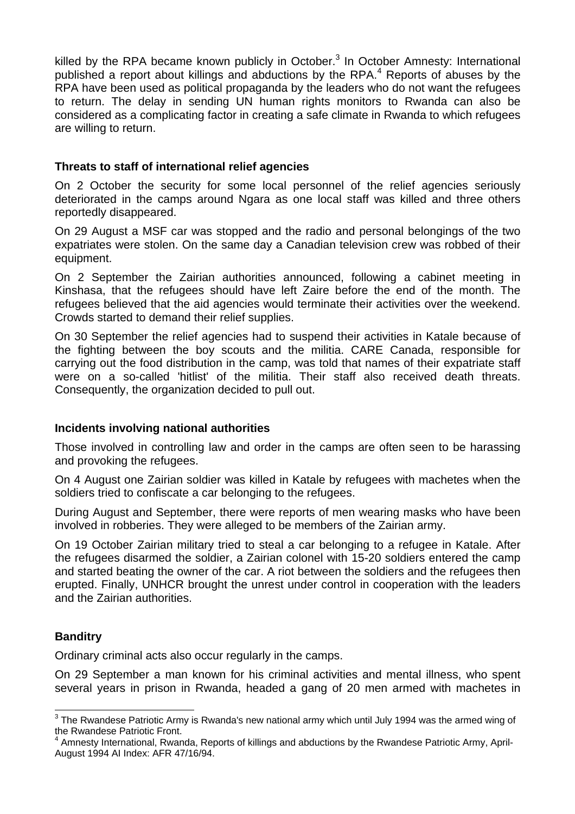killedby the RPA became known publicly in October. $3$  In October Amnesty: International publisheda report about killings and abductions by the RPA.<sup>4</sup> Reports of abuses by the RPA have been used as political propaganda by the leaders who do not want the refugees to return. The delay in sending UN human rights monitors to Rwanda can also be considered as a complicating factor in creating a safe climate in Rwanda to which refugees are willing to return.

#### **Threats to staff of international relief agencies**

On 2 October the security for some local personnel of the relief agencies seriously deteriorated in the camps around Ngara as one local staff was killed and three others reportedly disappeared.

On 29 August a MSF car was stopped and the radio and personal belongings of the two expatriates were stolen. On the same day a Canadian television crew was robbed of their equipment.

On 2 September the Zairian authorities announced, following a cabinet meeting in Kinshasa, that the refugees should have left Zaire before the end of the month. The refugees believed that the aid agencies would terminate their activities over the weekend. Crowds started to demand their relief supplies.

On 30 September the relief agencies had to suspend their activities in Katale because of the fighting between the boy scouts and the militia. CARE Canada, responsible for carrying out the food distribution in the camp, was told that names of their expatriate staff were on a so-called 'hitlist' of the militia. Their staff also received death threats. Consequently, the organization decided to pull out.

## **Incidents involving national authorities**

Those involved in controlling law and order in the camps are often seen to be harassing and provoking the refugees.

On 4 August one Zairian soldier was killed in Katale by refugees with machetes when the soldiers tried to confiscate a car belonging to the refugees.

During August and September, there were reports of men wearing masks who have been involved in robberies. They were alleged to be members of the Zairian army.

On 19 October Zairian military tried to steal a car belonging to a refugee in Katale. After the refugees disarmed the soldier, a Zairian colonel with 15-20 soldiers entered the camp and started beating the owner of the car. A riot between the soldiers and the refugees then erupted. Finally, UNHCR brought the unrest under control in cooperation with the leaders and the Zairian authorities.

## **Banditry**

l

Ordinary criminal acts also occur regularly in the camps.

On 29 September a man known for his criminal activities and mental illness, who spent several years in prison in Rwanda, headed a gang of 20 men armed with machetes in

<span id="page-9-0"></span> $^3$  The Rwandese Patriotic Army is Rwanda's new national army which until July 1994 was the armed wing of the Rwandese Patriotic Front.

<span id="page-9-1"></span><sup>4</sup> Amnesty International, Rwanda, Reports of killings and abductions by the Rwandese Patriotic Army, April-August 1994 AI Index: AFR 47/16/94.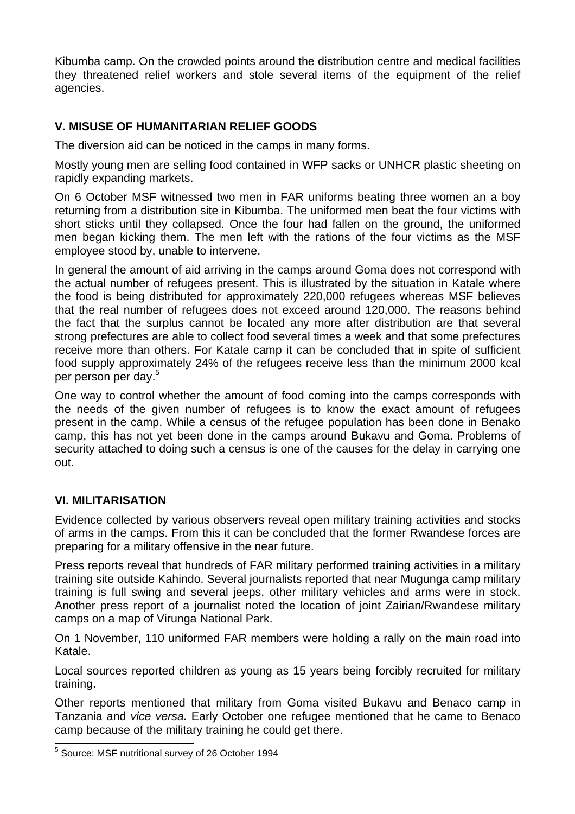Kibumba camp. On the crowded points around the distribution centre and medical facilities they threatened relief workers and stole several items of the equipment of the relief agencies.

## **V. MISUSE OF HUMANITARIAN RELIEF GOODS**

The diversion aid can be noticed in the camps in many forms.

Mostly young men are selling food contained in WFP sacks or UNHCR plastic sheeting on rapidly expanding markets.

On 6 October MSF witnessed two men in FAR uniforms beating three women an a boy returning from a distribution site in Kibumba. The uniformed men beat the four victims with short sticks until they collapsed. Once the four had fallen on the ground, the uniformed men began kicking them. The men left with the rations of the four victims as the MSF employee stood by, unable to intervene.

In general the amount of aid arriving in the camps around Goma does not correspond with the actual number of refugees present. This is illustrated by the situation in Katale where the food is being distributed for approximately 220,000 refugees whereas MSF believes that the real number of refugees does not exceed around 120,000. The reasons behind the fact that the surplus cannot be located any more after distribution are that several strong prefectures are able to collect food several times a week and that some prefectures receive more than others. For Katale camp it can be concluded that in spite of sufficient food supply approximately 24% of the refugees receive less than the minimum 2000 kcal perperson per day.<sup>5</sup>

One way to control whether the amount of food coming into the camps corresponds with the needs of the given number of refugees is to know the exact amount of refugees present in the camp. While a census of the refugee population has been done in Benako camp, this has not yet been done in the camps around Bukavu and Goma. Problems of security attached to doing such a census is one of the causes for the delay in carrying one out.

## **VI. MILITARISATION**

Evidence collected by various observers reveal open military training activities and stocks of arms in the camps. From this it can be concluded that the former Rwandese forces are preparing for a military offensive in the near future.

Press reports reveal that hundreds of FAR military performed training activities in a military training site outside Kahindo. Several journalists reported that near Mugunga camp military training is full swing and several jeeps, other military vehicles and arms were in stock. Another press report of a journalist noted the location of joint Zairian/Rwandese military camps on a map of Virunga National Park.

On 1 November, 110 uniformed FAR members were holding a rally on the main road into Katale.

Local sources reported children as young as 15 years being forcibly recruited for military training.

Other reports mentioned that military from Goma visited Bukavu and Benaco camp in Tanzania and *vice versa.* Early October one refugee mentioned that he came to Benaco camp because of the military training he could get there.

<span id="page-10-0"></span> 5 Source: MSF nutritional survey of 26 October 1994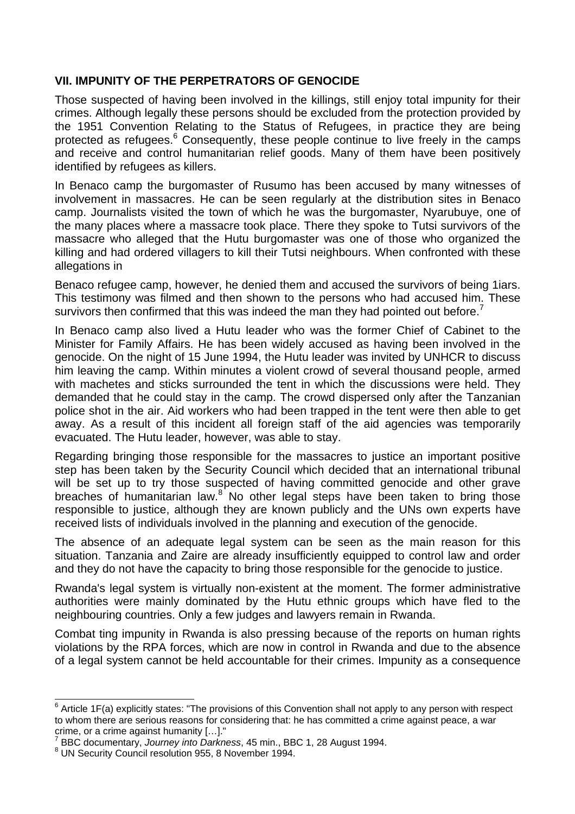## **VII. IMPUNITY OF THE PERPETRATORS OF GENOCIDE**

Those suspected of having been involved in the killings, still enjoy total impunity for their crimes. Although legally these persons should be excluded from the protection provided by the 1951 Convention Relating to the Status of Refugees, in practice they are being protectedas refugees.<sup>6</sup> Consequently, these people continue to live freely in the camps and receive and control humanitarian relief goods. Many of them have been positively identified by refugees as killers.

In Benaco camp the burgomaster of Rusumo has been accused by many witnesses of involvement in massacres. He can be seen regularly at the distribution sites in Benaco camp. Journalists visited the town of which he was the burgomaster, Nyarubuye, one of the many places where a massacre took place. There they spoke to Tutsi survivors of the massacre who alleged that the Hutu burgomaster was one of those who organized the killing and had ordered villagers to kill their Tutsi neighbours. When confronted with these allegations in

Benaco refugee camp, however, he denied them and accused the survivors of being 1iars. This testimony was filmed and then shown to the persons who had accused him. These survivorsthen confirmed that this was indeed the man they had pointed out before.<sup>7</sup>

In Benaco camp also lived a Hutu leader who was the former Chief of Cabinet to the Minister for Family Affairs. He has been widely accused as having been involved in the genocide. On the night of 15 June 1994, the Hutu leader was invited by UNHCR to discuss him leaving the camp. Within minutes a violent crowd of several thousand people, armed with machetes and sticks surrounded the tent in which the discussions were held. They demanded that he could stay in the camp. The crowd dispersed only after the Tanzanian police shot in the air. Aid workers who had been trapped in the tent were then able to get away. As a result of this incident all foreign staff of the aid agencies was temporarily evacuated. The Hutu leader, however, was able to stay.

Regarding bringing those responsible for the massacres to justice an important positive step has been taken by the Security Council which decided that an international tribunal will be set up to try those suspected of having committed genocide and other grave breachesof humanitarian law. $8^{\circ}$  No other legal steps have been taken to bring those responsible to justice, although they are known publicly and the UNs own experts have received lists of individuals involved in the planning and execution of the genocide.

The absence of an adequate legal system can be seen as the main reason for this situation. Tanzania and Zaire are already insufficiently equipped to control law and order and they do not have the capacity to bring those responsible for the genocide to justice.

Rwanda's legal system is virtually non-existent at the moment. The former administrative authorities were mainly dominated by the Hutu ethnic groups which have fled to the neighbouring countries. Only a few judges and lawyers remain in Rwanda.

Combat ting impunity in Rwanda is also pressing because of the reports on human rights violations by the RPA forces, which are now in control in Rwanda and due to the absence of a legal system cannot be held accountable for their crimes. Impunity as a consequence

<span id="page-11-0"></span> 6 Article 1F(a) explicitly states: "The provisions of this Convention shall not apply to any person with respect to whom there are serious reasons for considering that: he has committed a crime against peace, a war crime, or a crime against humanity […]."

<span id="page-11-1"></span><sup>7</sup> BBC documentary, *Journey into Darkness*, 45 min., BBC 1, 28 August 1994.

<span id="page-11-2"></span>UN Security Council resolution 955, 8 November 1994.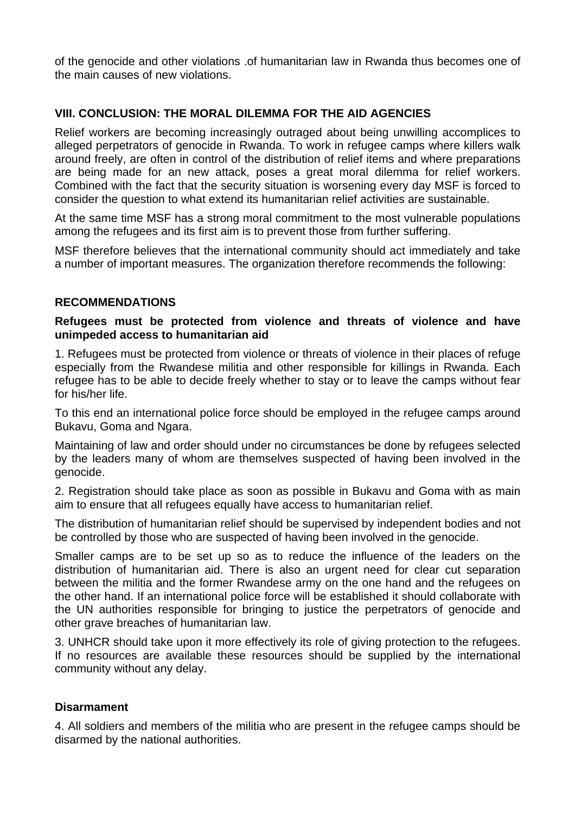of the genocide and other violations .of humanitarian law in Rwanda thus becomes one of the main causes of new violations.

## **VIII. CONCLUSION: THE MORAL DILEMMA FOR THE AID AGENCIES**

Relief workers are becoming increasingly outraged about being unwilling accomplices to alleged perpetrators of genocide in Rwanda. To work in refugee camps where killers walk around freely, are often in control of the distribution of relief items and where preparations are being made for an new attack, poses a great moral dilemma for relief workers. Combined with the fact that the security situation is worsening every day MSF is forced to consider the question to what extend its humanitarian relief activities are sustainable.

At the same time MSF has a strong moral commitment to the most vulnerable populations among the refugees and its first aim is to prevent those from further suffering.

MSF therefore believes that the international community should act immediately and take a number of important measures. The organization therefore recommends the following:

#### **RECOMMENDATIONS**

#### **Refugees must be protected from violence and threats of violence and have unimpeded access to humanitarian aid**

1. Refugees must be protected from violence or threats of violence in their places of refuge especially from the Rwandese militia and other responsible for killings in Rwanda. Each refugee has to be able to decide freely whether to stay or to leave the camps without fear for his/her life.

To this end an international police force should be employed in the refugee camps around Bukavu, Goma and Ngara.

Maintaining of law and order should under no circumstances be done by refugees selected by the leaders many of whom are themselves suspected of having been involved in the genocide.

2. Registration should take place as soon as possible in Bukavu and Goma with as main aim to ensure that all refugees equally have access to humanitarian relief.

The distribution of humanitarian relief should be supervised by independent bodies and not be controlled by those who are suspected of having been involved in the genocide.

Smaller camps are to be set up so as to reduce the influence of the leaders on the distribution of humanitarian aid. There is also an urgent need for clear cut separation between the militia and the former Rwandese army on the one hand and the refugees on the other hand. If an international police force will be established it should collaborate with the UN authorities responsible for bringing to justice the perpetrators of genocide and other grave breaches of humanitarian law.

3. UNHCR should take upon it more effectively its role of giving protection to the refugees. If no resources are available these resources should be supplied by the international community without any delay.

#### **Disarmament**

4. All soldiers and members of the militia who are present in the refugee camps should be disarmed by the national authorities.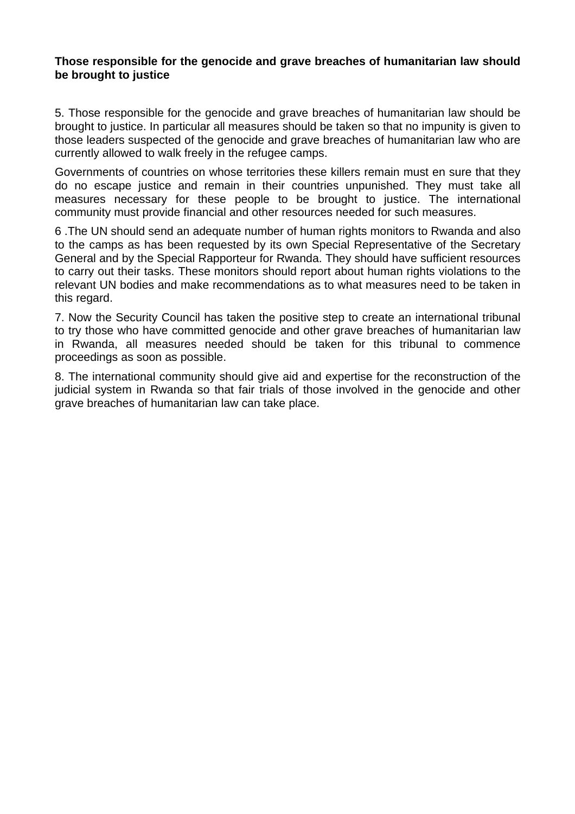#### **Those responsible for the genocide and grave breaches of humanitarian law should be brought to justice**

5. Those responsible for the genocide and grave breaches of humanitarian law should be brought to justice. In particular all measures should be taken so that no impunity is given to those leaders suspected of the genocide and grave breaches of humanitarian law who are currently allowed to walk freely in the refugee camps.

Governments of countries on whose territories these killers remain must en sure that they do no escape justice and remain in their countries unpunished. They must take all measures necessary for these people to be brought to justice. The international community must provide financial and other resources needed for such measures.

6 .The UN should send an adequate number of human rights monitors to Rwanda and also to the camps as has been requested by its own Special Representative of the Secretary General and by the Special Rapporteur for Rwanda. They should have sufficient resources to carry out their tasks. These monitors should report about human rights violations to the relevant UN bodies and make recommendations as to what measures need to be taken in this regard.

7. Now the Security Council has taken the positive step to create an international tribunal to try those who have committed genocide and other grave breaches of humanitarian law in Rwanda, all measures needed should be taken for this tribunal to commence proceedings as soon as possible.

8. The international community should give aid and expertise for the reconstruction of the judicial system in Rwanda so that fair trials of those involved in the genocide and other grave breaches of humanitarian law can take place.